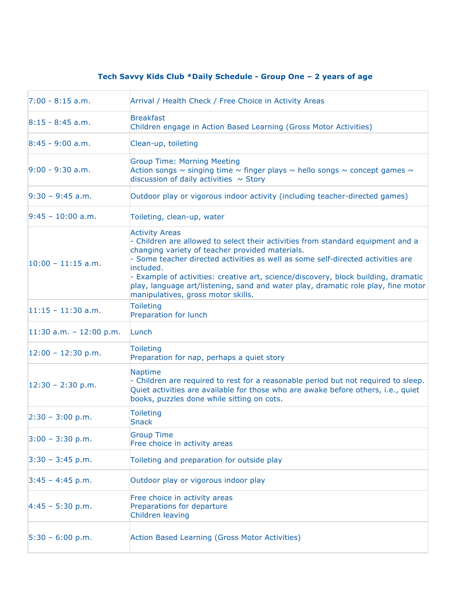## **Tech Savvy Kids Club \*Daily Schedule - Group One – 2 years of age**

| $7:00 - 8:15$ a.m.        | Arrival / Health Check / Free Choice in Activity Areas                                                                                                                                                                                                                                                                                                                                                                                                                       |
|---------------------------|------------------------------------------------------------------------------------------------------------------------------------------------------------------------------------------------------------------------------------------------------------------------------------------------------------------------------------------------------------------------------------------------------------------------------------------------------------------------------|
| $8:15 - 8:45$ a.m.        | <b>Breakfast</b><br>Children engage in Action Based Learning (Gross Motor Activities)                                                                                                                                                                                                                                                                                                                                                                                        |
| $8:45 - 9:00$ a.m.        | Clean-up, toileting                                                                                                                                                                                                                                                                                                                                                                                                                                                          |
| $9:00 - 9:30$ a.m.        | <b>Group Time: Morning Meeting</b><br>Action songs $\sim$ singing time $\sim$ finger plays $\sim$ hello songs $\sim$ concept games $\sim$<br>discussion of daily activities $\sim$ Story                                                                                                                                                                                                                                                                                     |
| $9:30 - 9:45$ a.m.        | Outdoor play or vigorous indoor activity (including teacher-directed games)                                                                                                                                                                                                                                                                                                                                                                                                  |
| $9:45 - 10:00$ a.m.       | Toileting, clean-up, water                                                                                                                                                                                                                                                                                                                                                                                                                                                   |
| $10:00 - 11:15$ a.m.      | <b>Activity Areas</b><br>- Children are allowed to select their activities from standard equipment and a<br>changing variety of teacher provided materials.<br>- Some teacher directed activities as well as some self-directed activities are<br>included.<br>- Example of activities: creative art, science/discovery, block building, dramatic<br>play, language art/listening, sand and water play, dramatic role play, fine motor<br>manipulatives, gross motor skills. |
| $11:15 - 11:30$ a.m.      | <b>Toileting</b><br>Preparation for lunch                                                                                                                                                                                                                                                                                                                                                                                                                                    |
| $11:30$ a.m. - 12:00 p.m. | Lunch                                                                                                                                                                                                                                                                                                                                                                                                                                                                        |
| $12:00 - 12:30$ p.m.      | <b>Toileting</b><br>Preparation for nap, perhaps a quiet story                                                                                                                                                                                                                                                                                                                                                                                                               |
| $12:30 - 2:30$ p.m.       | Naptime<br>- Children are required to rest for a reasonable period but not required to sleep.<br>Quiet activities are available for those who are awake before others, i.e., quiet<br>books, puzzles done while sitting on cots.                                                                                                                                                                                                                                             |
| $2:30 - 3:00$ p.m.        | <b>Toileting</b><br><b>Snack</b>                                                                                                                                                                                                                                                                                                                                                                                                                                             |
| $3:00 - 3:30$ p.m.        | <b>Group Time</b><br>Free choice in activity areas                                                                                                                                                                                                                                                                                                                                                                                                                           |
| $3:30 - 3:45$ p.m.        | Toileting and preparation for outside play                                                                                                                                                                                                                                                                                                                                                                                                                                   |
| $3:45 - 4:45$ p.m.        | Outdoor play or vigorous indoor play                                                                                                                                                                                                                                                                                                                                                                                                                                         |
| $4:45 - 5:30$ p.m.        | Free choice in activity areas<br>Preparations for departure<br>Children leaving                                                                                                                                                                                                                                                                                                                                                                                              |
| $5:30 - 6:00 p.m.$        | Action Based Learning (Gross Motor Activities)                                                                                                                                                                                                                                                                                                                                                                                                                               |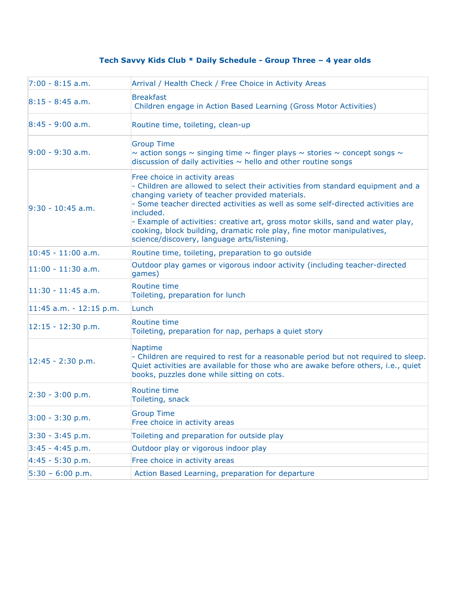## **Tech Savvy Kids Club \* Daily Schedule - Group Three – 4 year olds**

| $7:00 - 8:15$ a.m.        | Arrival / Health Check / Free Choice in Activity Areas                                                                                                                                                                                                                                                                                                                                                                                                                          |
|---------------------------|---------------------------------------------------------------------------------------------------------------------------------------------------------------------------------------------------------------------------------------------------------------------------------------------------------------------------------------------------------------------------------------------------------------------------------------------------------------------------------|
|                           |                                                                                                                                                                                                                                                                                                                                                                                                                                                                                 |
| $8:15 - 8:45$ a.m.        | <b>Breakfast</b><br>Children engage in Action Based Learning (Gross Motor Activities)                                                                                                                                                                                                                                                                                                                                                                                           |
| $8:45 - 9:00$ a.m.        | Routine time, toileting, clean-up                                                                                                                                                                                                                                                                                                                                                                                                                                               |
| $9:00 - 9:30$ a.m.        | <b>Group Time</b><br>$\sim$ action songs $\sim$ singing time $\sim$ finger plays $\sim$ stories $\sim$ concept songs $\sim$<br>discussion of daily activities $\sim$ hello and other routine songs                                                                                                                                                                                                                                                                              |
| $9:30 - 10:45$ a.m.       | Free choice in activity areas<br>- Children are allowed to select their activities from standard equipment and a<br>changing variety of teacher provided materials.<br>- Some teacher directed activities as well as some self-directed activities are<br>included.<br>- Example of activities: creative art, gross motor skills, sand and water play,<br>cooking, block building, dramatic role play, fine motor manipulatives,<br>science/discovery, language arts/listening. |
| $10:45 - 11:00$ a.m.      | Routine time, toileting, preparation to go outside                                                                                                                                                                                                                                                                                                                                                                                                                              |
| $11:00 - 11:30$ a.m.      | Outdoor play games or vigorous indoor activity (including teacher-directed<br>games)                                                                                                                                                                                                                                                                                                                                                                                            |
| $11:30 - 11:45$ a.m.      | <b>Routine time</b><br>Toileting, preparation for lunch                                                                                                                                                                                                                                                                                                                                                                                                                         |
| $11:45$ a.m. - 12:15 p.m. | Lunch                                                                                                                                                                                                                                                                                                                                                                                                                                                                           |
| $12:15 - 12:30$ p.m.      | <b>Routine time</b><br>Toileting, preparation for nap, perhaps a quiet story                                                                                                                                                                                                                                                                                                                                                                                                    |
| $12:45 - 2:30$ p.m.       | <b>Naptime</b><br>- Children are required to rest for a reasonable period but not required to sleep.<br>Quiet activities are available for those who are awake before others, i.e., quiet<br>books, puzzles done while sitting on cots.                                                                                                                                                                                                                                         |
| $2:30 - 3:00$ p.m.        | <b>Routine time</b><br>Toileting, snack                                                                                                                                                                                                                                                                                                                                                                                                                                         |
| $3:00 - 3:30 p.m.$        | <b>Group Time</b><br>Free choice in activity areas                                                                                                                                                                                                                                                                                                                                                                                                                              |
| $3:30 - 3:45$ p.m.        | Toileting and preparation for outside play                                                                                                                                                                                                                                                                                                                                                                                                                                      |
| $3:45 - 4:45 p.m.$        | Outdoor play or vigorous indoor play                                                                                                                                                                                                                                                                                                                                                                                                                                            |
| $4:45 - 5:30$ p.m.        | Free choice in activity areas                                                                                                                                                                                                                                                                                                                                                                                                                                                   |
| $5:30 - 6:00 p.m.$        | Action Based Learning, preparation for departure                                                                                                                                                                                                                                                                                                                                                                                                                                |